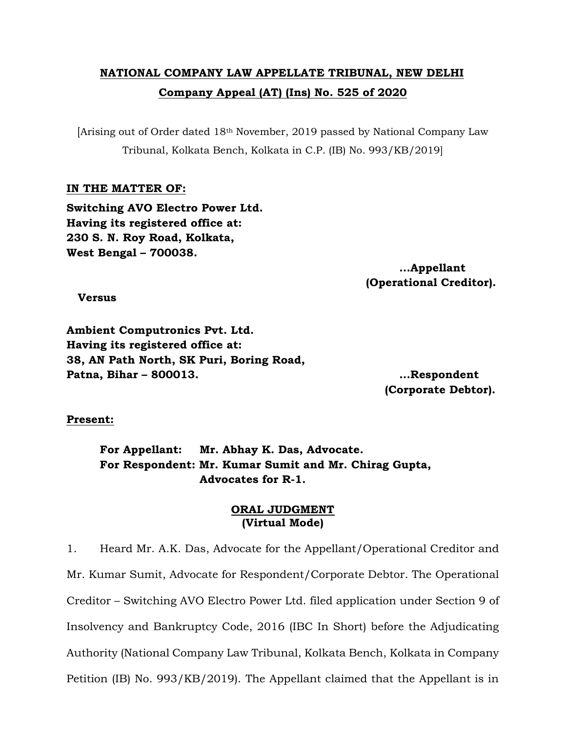## **NATIONAL COMPANY LAW APPELLATE TRIBUNAL, NEW DELHI Company Appeal (AT) (Ins) No. 525 of 2020**

[Arising out of Order dated 18th November, 2019 passed by National Company Law Tribunal, Kolkata Bench, Kolkata in C.P. (IB) No. 993/KB/2019]

## **IN THE MATTER OF:**

**Switching AVO Electro Power Ltd. Having its registered office at: 230 S. N. Roy Road, Kolkata, West Bengal – 700038.**

> **…Appellant (Operational Creditor).**

 **Versus**

**Ambient Computronics Pvt. Ltd. Having its registered office at: 38, AN Path North, SK Puri, Boring Road, Patna, Bihar – 800013. …Respondent**

 **(Corporate Debtor).**

## **Present:**

**For Appellant: Mr. Abhay K. Das, Advocate. For Respondent: Mr. Kumar Sumit and Mr. Chirag Gupta, Advocates for R-1.**

## **ORAL JUDGMENT (Virtual Mode)**

1. Heard Mr. A.K. Das, Advocate for the Appellant/Operational Creditor and Mr. Kumar Sumit, Advocate for Respondent/Corporate Debtor. The Operational Creditor – Switching AVO Electro Power Ltd. filed application under Section 9 of Insolvency and Bankruptcy Code, 2016 (IBC In Short) before the Adjudicating Authority (National Company Law Tribunal, Kolkata Bench, Kolkata in Company Petition (IB) No. 993/KB/2019). The Appellant claimed that the Appellant is in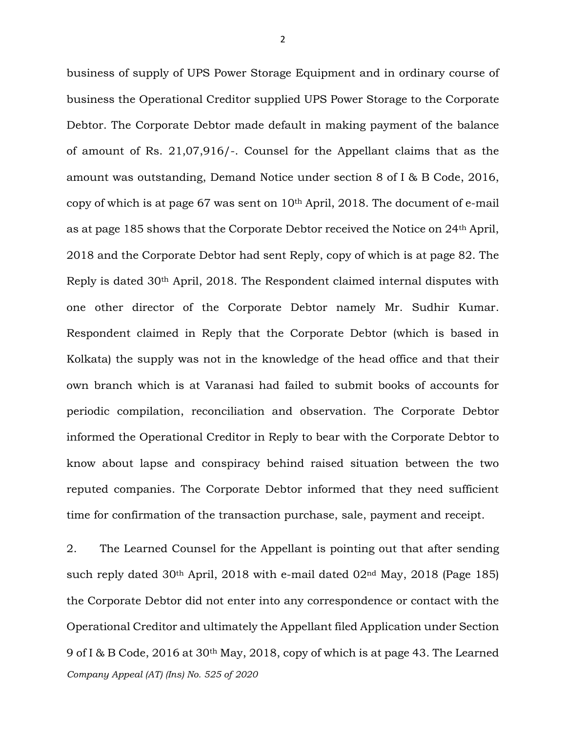business of supply of UPS Power Storage Equipment and in ordinary course of business the Operational Creditor supplied UPS Power Storage to the Corporate Debtor. The Corporate Debtor made default in making payment of the balance of amount of Rs. 21,07,916/-. Counsel for the Appellant claims that as the amount was outstanding, Demand Notice under section 8 of I & B Code, 2016, copy of which is at page 67 was sent on  $10<sup>th</sup>$  April, 2018. The document of e-mail as at page 185 shows that the Corporate Debtor received the Notice on 24th April, 2018 and the Corporate Debtor had sent Reply, copy of which is at page 82. The Reply is dated 30th April, 2018. The Respondent claimed internal disputes with one other director of the Corporate Debtor namely Mr. Sudhir Kumar. Respondent claimed in Reply that the Corporate Debtor (which is based in Kolkata) the supply was not in the knowledge of the head office and that their own branch which is at Varanasi had failed to submit books of accounts for periodic compilation, reconciliation and observation. The Corporate Debtor informed the Operational Creditor in Reply to bear with the Corporate Debtor to know about lapse and conspiracy behind raised situation between the two reputed companies. The Corporate Debtor informed that they need sufficient time for confirmation of the transaction purchase, sale, payment and receipt.

*Company Appeal (AT) (Ins) No. 525 of 2020* 2. The Learned Counsel for the Appellant is pointing out that after sending such reply dated 30th April, 2018 with e-mail dated 02nd May, 2018 (Page 185) the Corporate Debtor did not enter into any correspondence or contact with the Operational Creditor and ultimately the Appellant filed Application under Section 9 of I & B Code, 2016 at 30th May, 2018, copy of which is at page 43. The Learned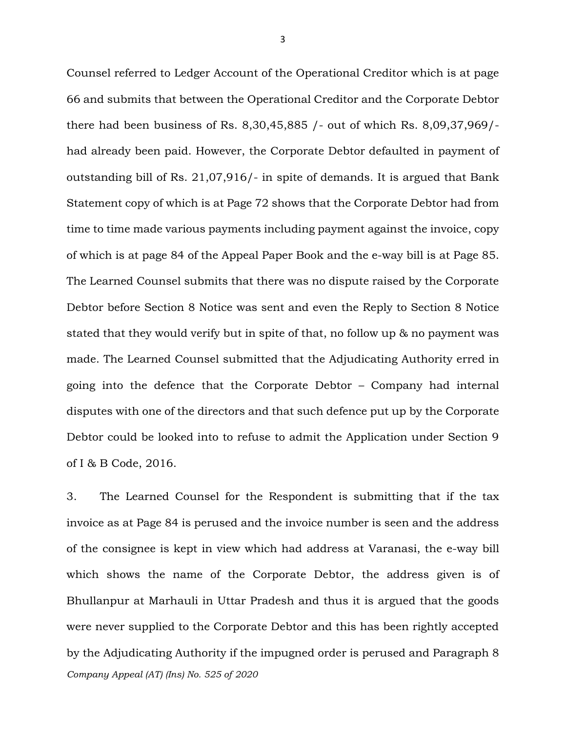Counsel referred to Ledger Account of the Operational Creditor which is at page 66 and submits that between the Operational Creditor and the Corporate Debtor there had been business of Rs. 8,30,45,885 /- out of which Rs. 8,09,37,969/ had already been paid. However, the Corporate Debtor defaulted in payment of outstanding bill of Rs. 21,07,916/- in spite of demands. It is argued that Bank Statement copy of which is at Page 72 shows that the Corporate Debtor had from time to time made various payments including payment against the invoice, copy of which is at page 84 of the Appeal Paper Book and the e-way bill is at Page 85. The Learned Counsel submits that there was no dispute raised by the Corporate Debtor before Section 8 Notice was sent and even the Reply to Section 8 Notice stated that they would verify but in spite of that, no follow up & no payment was made. The Learned Counsel submitted that the Adjudicating Authority erred in going into the defence that the Corporate Debtor – Company had internal disputes with one of the directors and that such defence put up by the Corporate Debtor could be looked into to refuse to admit the Application under Section 9 of I & B Code, 2016.

*Company Appeal (AT) (Ins) No. 525 of 2020* 3. The Learned Counsel for the Respondent is submitting that if the tax invoice as at Page 84 is perused and the invoice number is seen and the address of the consignee is kept in view which had address at Varanasi, the e-way bill which shows the name of the Corporate Debtor, the address given is of Bhullanpur at Marhauli in Uttar Pradesh and thus it is argued that the goods were never supplied to the Corporate Debtor and this has been rightly accepted by the Adjudicating Authority if the impugned order is perused and Paragraph 8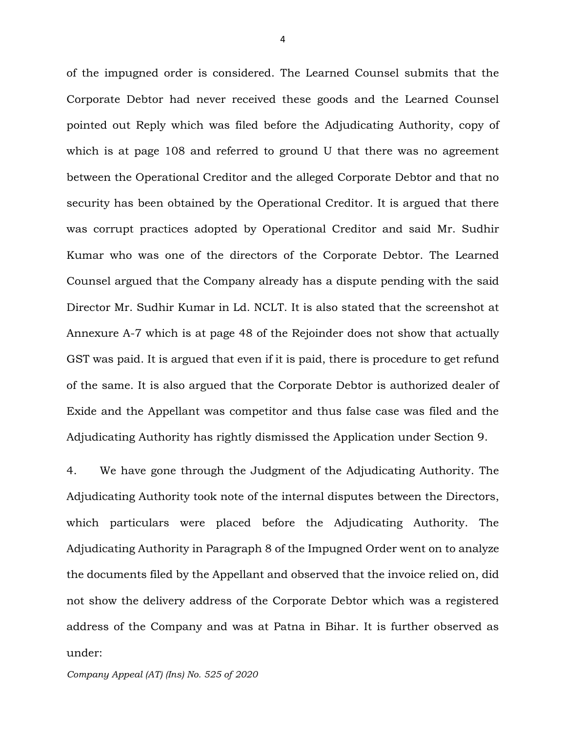of the impugned order is considered. The Learned Counsel submits that the Corporate Debtor had never received these goods and the Learned Counsel pointed out Reply which was filed before the Adjudicating Authority, copy of which is at page 108 and referred to ground U that there was no agreement between the Operational Creditor and the alleged Corporate Debtor and that no security has been obtained by the Operational Creditor. It is argued that there was corrupt practices adopted by Operational Creditor and said Mr. Sudhir Kumar who was one of the directors of the Corporate Debtor. The Learned Counsel argued that the Company already has a dispute pending with the said Director Mr. Sudhir Kumar in Ld. NCLT. It is also stated that the screenshot at Annexure A-7 which is at page 48 of the Rejoinder does not show that actually GST was paid. It is argued that even if it is paid, there is procedure to get refund of the same. It is also argued that the Corporate Debtor is authorized dealer of Exide and the Appellant was competitor and thus false case was filed and the Adjudicating Authority has rightly dismissed the Application under Section 9.

4. We have gone through the Judgment of the Adjudicating Authority. The Adjudicating Authority took note of the internal disputes between the Directors, which particulars were placed before the Adjudicating Authority. The Adjudicating Authority in Paragraph 8 of the Impugned Order went on to analyze the documents filed by the Appellant and observed that the invoice relied on, did not show the delivery address of the Corporate Debtor which was a registered address of the Company and was at Patna in Bihar. It is further observed as under:

*Company Appeal (AT) (Ins) No. 525 of 2020*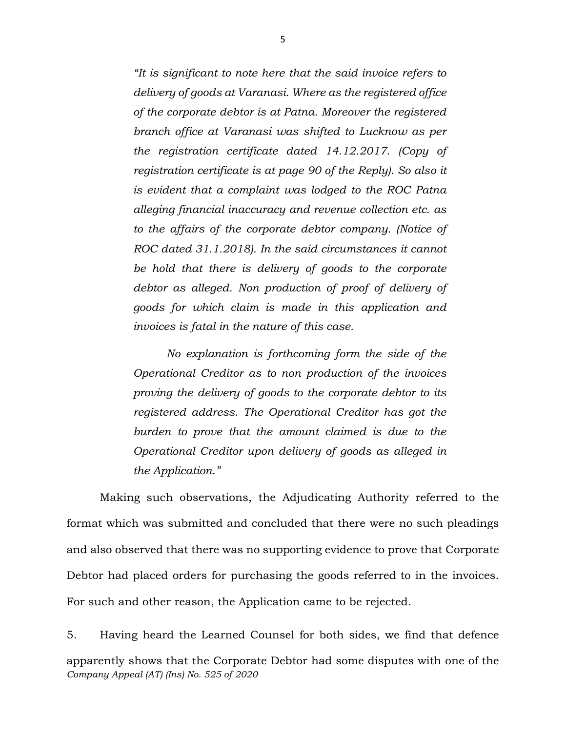*"It is significant to note here that the said invoice refers to delivery of goods at Varanasi. Where as the registered office of the corporate debtor is at Patna. Moreover the registered branch office at Varanasi was shifted to Lucknow as per the registration certificate dated 14.12.2017. (Copy of registration certificate is at page 90 of the Reply). So also it is evident that a complaint was lodged to the ROC Patna alleging financial inaccuracy and revenue collection etc. as to the affairs of the corporate debtor company. (Notice of ROC dated 31.1.2018). In the said circumstances it cannot be hold that there is delivery of goods to the corporate debtor as alleged. Non production of proof of delivery of goods for which claim is made in this application and invoices is fatal in the nature of this case.* 

*No explanation is forthcoming form the side of the Operational Creditor as to non production of the invoices proving the delivery of goods to the corporate debtor to its registered address. The Operational Creditor has got the burden to prove that the amount claimed is due to the Operational Creditor upon delivery of goods as alleged in the Application."*

Making such observations, the Adjudicating Authority referred to the format which was submitted and concluded that there were no such pleadings and also observed that there was no supporting evidence to prove that Corporate Debtor had placed orders for purchasing the goods referred to in the invoices. For such and other reason, the Application came to be rejected.

*Company Appeal (AT) (Ins) No. 525 of 2020* 5. Having heard the Learned Counsel for both sides, we find that defence apparently shows that the Corporate Debtor had some disputes with one of the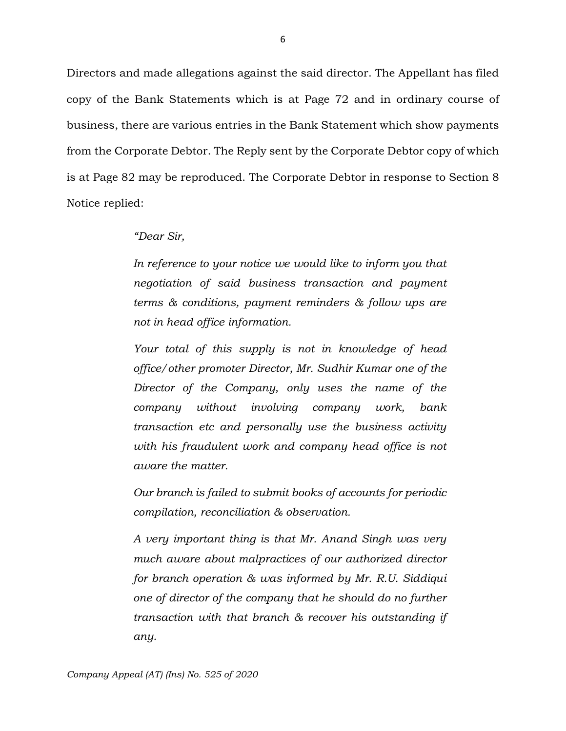Directors and made allegations against the said director. The Appellant has filed copy of the Bank Statements which is at Page 72 and in ordinary course of business, there are various entries in the Bank Statement which show payments from the Corporate Debtor. The Reply sent by the Corporate Debtor copy of which is at Page 82 may be reproduced. The Corporate Debtor in response to Section 8 Notice replied:

*"Dear Sir,*

*In reference to your notice we would like to inform you that negotiation of said business transaction and payment terms & conditions, payment reminders & follow ups are not in head office information.*

*Your total of this supply is not in knowledge of head office/other promoter Director, Mr. Sudhir Kumar one of the Director of the Company, only uses the name of the company without involving company work, bank transaction etc and personally use the business activity with his fraudulent work and company head office is not aware the matter.*

*Our branch is failed to submit books of accounts for periodic compilation, reconciliation & observation.*

*A very important thing is that Mr. Anand Singh was very much aware about malpractices of our authorized director for branch operation & was informed by Mr. R.U. Siddiqui one of director of the company that he should do no further transaction with that branch & recover his outstanding if any.*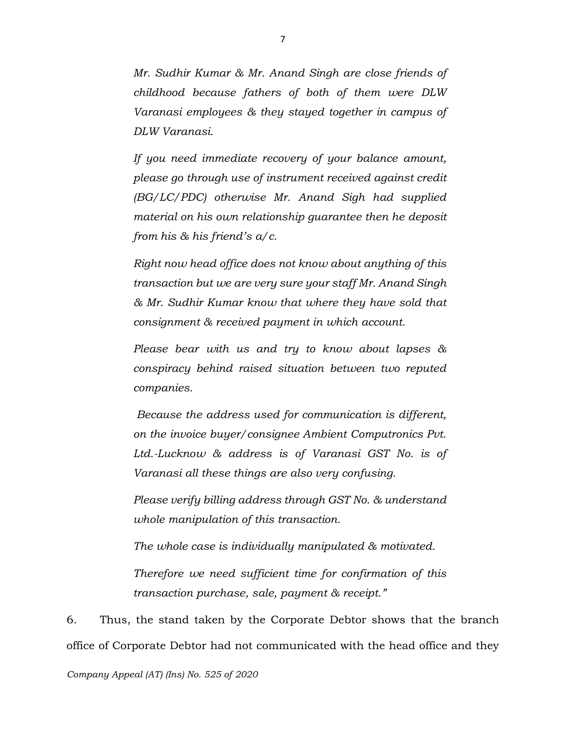*Mr. Sudhir Kumar & Mr. Anand Singh are close friends of childhood because fathers of both of them were DLW Varanasi employees & they stayed together in campus of DLW Varanasi.*

*If you need immediate recovery of your balance amount, please go through use of instrument received against credit (BG/LC/PDC) otherwise Mr. Anand Sigh had supplied material on his own relationship guarantee then he deposit from his & his friend's a/c.*

*Right now head office does not know about anything of this transaction but we are very sure your staff Mr. Anand Singh & Mr. Sudhir Kumar know that where they have sold that consignment & received payment in which account.*

*Please bear with us and try to know about lapses & conspiracy behind raised situation between two reputed companies.*

*Because the address used for communication is different, on the invoice buyer/consignee Ambient Computronics Pvt. Ltd.-Lucknow & address is of Varanasi GST No. is of Varanasi all these things are also very confusing.*

*Please verify billing address through GST No. & understand whole manipulation of this transaction.*

*The whole case is individually manipulated & motivated.*

*Therefore we need sufficient time for confirmation of this transaction purchase, sale, payment & receipt."*

6. Thus, the stand taken by the Corporate Debtor shows that the branch office of Corporate Debtor had not communicated with the head office and they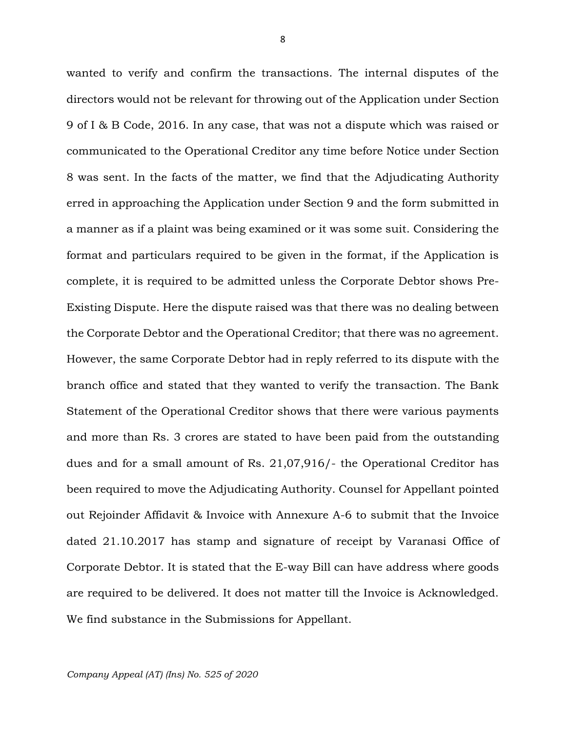wanted to verify and confirm the transactions. The internal disputes of the directors would not be relevant for throwing out of the Application under Section 9 of I & B Code, 2016. In any case, that was not a dispute which was raised or communicated to the Operational Creditor any time before Notice under Section 8 was sent. In the facts of the matter, we find that the Adjudicating Authority erred in approaching the Application under Section 9 and the form submitted in a manner as if a plaint was being examined or it was some suit. Considering the format and particulars required to be given in the format, if the Application is complete, it is required to be admitted unless the Corporate Debtor shows Pre-Existing Dispute. Here the dispute raised was that there was no dealing between the Corporate Debtor and the Operational Creditor; that there was no agreement. However, the same Corporate Debtor had in reply referred to its dispute with the branch office and stated that they wanted to verify the transaction. The Bank Statement of the Operational Creditor shows that there were various payments and more than Rs. 3 crores are stated to have been paid from the outstanding dues and for a small amount of Rs. 21,07,916/- the Operational Creditor has been required to move the Adjudicating Authority. Counsel for Appellant pointed out Rejoinder Affidavit & Invoice with Annexure A-6 to submit that the Invoice dated 21.10.2017 has stamp and signature of receipt by Varanasi Office of Corporate Debtor. It is stated that the E-way Bill can have address where goods are required to be delivered. It does not matter till the Invoice is Acknowledged. We find substance in the Submissions for Appellant.